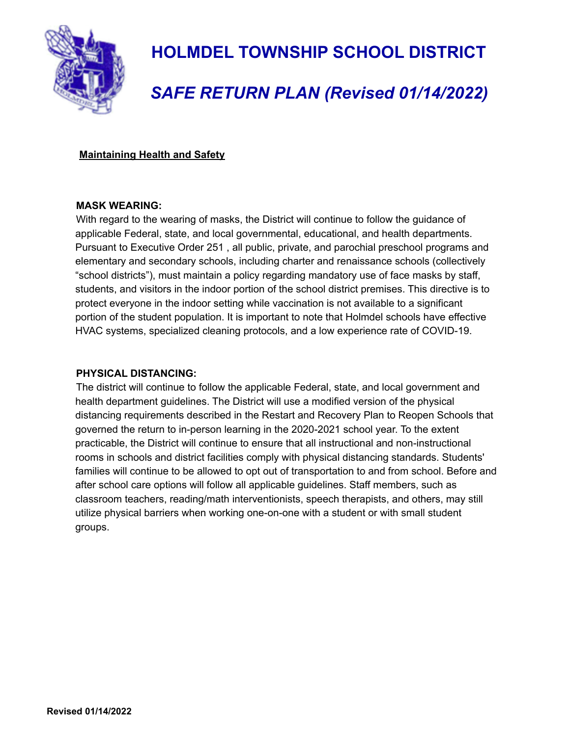

# **HOLMDEL TOWNSHIP SCHOOL DISTRICT**

# *SAFE RETURN PLAN (Revised 01/14/2022)*

## **Maintaining Health and Safety**

#### **MASK WEARING:**

With regard to the wearing of masks, the District will continue to follow the guidance of applicable Federal, state, and local governmental, educational, and health departments. Pursuant to Executive Order 251 , all public, private, and parochial preschool programs and elementary and secondary schools, including charter and renaissance schools (collectively "school districts"), must maintain a policy regarding mandatory use of face masks by staff, students, and visitors in the indoor portion of the school district premises. This directive is to protect everyone in the indoor setting while vaccination is not available to a significant portion of the student population. It is important to note that Holmdel schools have effective HVAC systems, specialized cleaning protocols, and a low experience rate of COVID-19.

## **PHYSICAL DISTANCING:**

The district will continue to follow the applicable Federal, state, and local government and health department guidelines. The District will use a modified version of the physical distancing requirements described in the Restart and Recovery Plan to Reopen Schools that governed the return to in-person learning in the 2020-2021 school year. To the extent practicable, the District will continue to ensure that all instructional and non-instructional rooms in schools and district facilities comply with physical distancing standards. Students' families will continue to be allowed to opt out of transportation to and from school. Before and after school care options will follow all applicable guidelines. Staff members, such as classroom teachers, reading/math interventionists, speech therapists, and others, may still utilize physical barriers when working one-on-one with a student or with small student groups.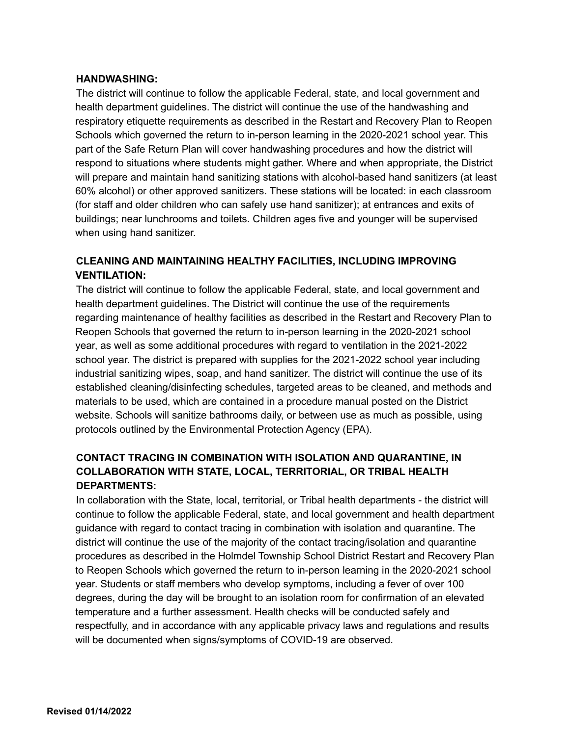## **HANDWASHING:**

The district will continue to follow the applicable Federal, state, and local government and health department guidelines. The district will continue the use of the handwashing and respiratory etiquette requirements as described in the Restart and Recovery Plan to Reopen Schools which governed the return to in-person learning in the 2020-2021 school year. This part of the Safe Return Plan will cover handwashing procedures and how the district will respond to situations where students might gather. Where and when appropriate, the District will prepare and maintain hand sanitizing stations with alcohol-based hand sanitizers (at least 60% alcohol) or other approved sanitizers. These stations will be located: in each classroom (for staff and older children who can safely use hand sanitizer); at entrances and exits of buildings; near lunchrooms and toilets. Children ages five and younger will be supervised when using hand sanitizer.

# **CLEANING AND MAINTAINING HEALTHY FACILITIES, INCLUDING IMPROVING VENTILATION:**

The district will continue to follow the applicable Federal, state, and local government and health department guidelines. The District will continue the use of the requirements regarding maintenance of healthy facilities as described in the Restart and Recovery Plan to Reopen Schools that governed the return to in-person learning in the 2020-2021 school year, as well as some additional procedures with regard to ventilation in the 2021-2022 school year. The district is prepared with supplies for the 2021-2022 school year including industrial sanitizing wipes, soap, and hand sanitizer. The district will continue the use of its established cleaning/disinfecting schedules, targeted areas to be cleaned, and methods and materials to be used, which are contained in a procedure manual posted on the District website. Schools will sanitize bathrooms daily, or between use as much as possible, using protocols outlined by the Environmental Protection Agency (EPA).

# **CONTACT TRACING IN COMBINATION WITH ISOLATION AND QUARANTINE, IN COLLABORATION WITH STATE, LOCAL, TERRITORIAL, OR TRIBAL HEALTH DEPARTMENTS:**

In collaboration with the State, local, territorial, or Tribal health departments - the district will continue to follow the applicable Federal, state, and local government and health department guidance with regard to contact tracing in combination with isolation and quarantine. The district will continue the use of the majority of the contact tracing/isolation and quarantine procedures as described in the Holmdel Township School District Restart and Recovery Plan to Reopen Schools which governed the return to in-person learning in the 2020-2021 school year. Students or staff members who develop symptoms, including a fever of over 100 degrees, during the day will be brought to an isolation room for confirmation of an elevated temperature and a further assessment. Health checks will be conducted safely and respectfully, and in accordance with any applicable privacy laws and regulations and results will be documented when signs/symptoms of COVID-19 are observed.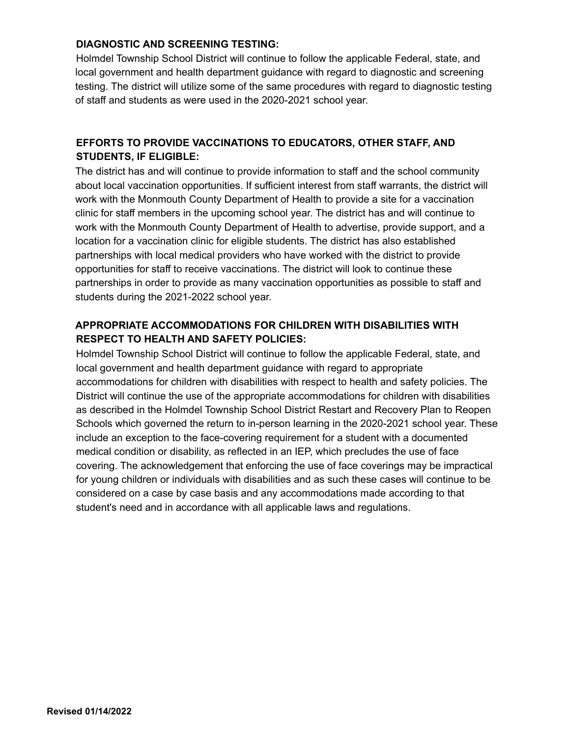## **DIAGNOSTIC AND SCREENING TESTING:**

Holmdel Township School District will continue to follow the applicable Federal, state, and local government and health department guidance with regard to diagnostic and screening testing. The district will utilize some of the same procedures with regard to diagnostic testing of staff and students as were used in the 2020-2021 school year.

## **EFFORTS TO PROVIDE VACCINATIONS TO EDUCATORS, OTHER STAFF, AND STUDENTS, IF ELIGIBLE:**

The district has and will continue to provide information to staff and the school community about local vaccination opportunities. If sufficient interest from staff warrants, the district will work with the Monmouth County Department of Health to provide a site for a vaccination clinic for staff members in the upcoming school year. The district has and will continue to work with the Monmouth County Department of Health to advertise, provide support, and a location for a vaccination clinic for eligible students. The district has also established partnerships with local medical providers who have worked with the district to provide opportunities for staff to receive vaccinations. The district will look to continue these partnerships in order to provide as many vaccination opportunities as possible to staff and students during the 2021-2022 school year.

## **APPROPRIATE ACCOMMODATIONS FOR CHILDREN WITH DISABILITIES WITH RESPECT TO HEALTH AND SAFETY POLICIES:**

Holmdel Township School District will continue to follow the applicable Federal, state, and local government and health department guidance with regard to appropriate accommodations for children with disabilities with respect to health and safety policies. The District will continue the use of the appropriate accommodations for children with disabilities as described in the Holmdel Township School District Restart and Recovery Plan to Reopen Schools which governed the return to in-person learning in the 2020-2021 school year. These include an exception to the face-covering requirement for a student with a documented medical condition or disability, as reflected in an IEP, which precludes the use of face covering. The acknowledgement that enforcing the use of face coverings may be impractical for young children or individuals with disabilities and as such these cases will continue to be considered on a case by case basis and any accommodations made according to that student's need and in accordance with all applicable laws and regulations.